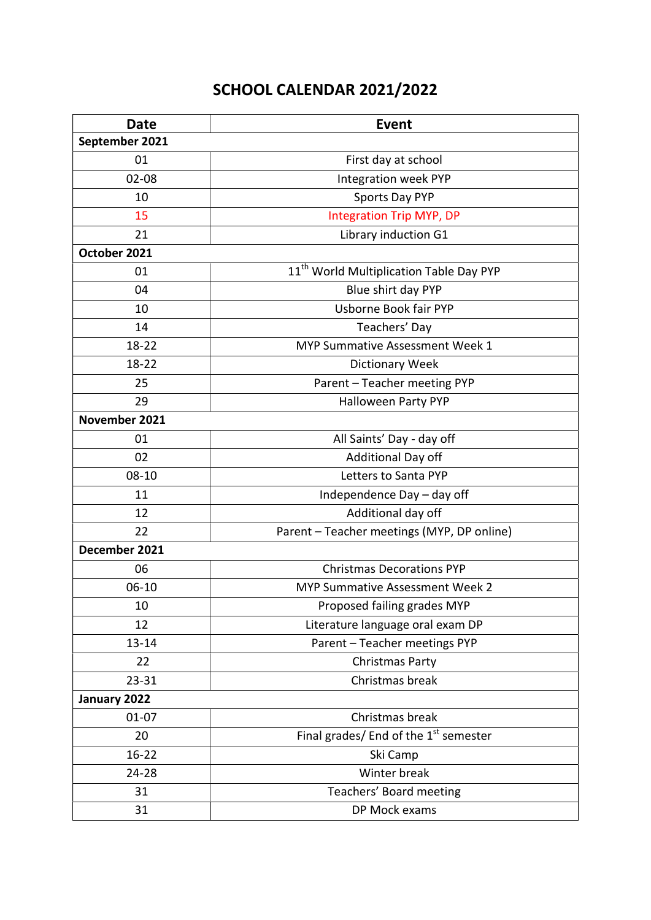## SCHOOL CALENDAR 2021/2022

| <b>Date</b>    | <b>Event</b>                                        |
|----------------|-----------------------------------------------------|
| September 2021 |                                                     |
| 01             | First day at school                                 |
| $02 - 08$      | Integration week PYP                                |
| 10             | Sports Day PYP                                      |
| 15             | <b>Integration Trip MYP, DP</b>                     |
| 21             | Library induction G1                                |
| October 2021   |                                                     |
| 01             | 11 <sup>th</sup> World Multiplication Table Day PYP |
| 04             | Blue shirt day PYP                                  |
| 10             | Usborne Book fair PYP                               |
| 14             | Teachers' Day                                       |
| $18 - 22$      | <b>MYP Summative Assessment Week 1</b>              |
| $18 - 22$      | <b>Dictionary Week</b>                              |
| 25             | Parent - Teacher meeting PYP                        |
| 29             | Halloween Party PYP                                 |
| November 2021  |                                                     |
| 01             | All Saints' Day - day off                           |
| 02             | Additional Day off                                  |
| $08 - 10$      | Letters to Santa PYP                                |
| 11             | Independence Day - day off                          |
| 12             | Additional day off                                  |
| 22             | Parent - Teacher meetings (MYP, DP online)          |
| December 2021  |                                                     |
| 06             | <b>Christmas Decorations PYP</b>                    |
| 06-10          | <b>MYP Summative Assessment Week 2</b>              |
| 10             | Proposed failing grades MYP                         |
| 12             | Literature language oral exam DP                    |
| $13 - 14$      | Parent - Teacher meetings PYP                       |
| 22             | Christmas Party                                     |
| $23 - 31$      | Christmas break                                     |
| January 2022   |                                                     |
| $01 - 07$      | Christmas break                                     |
| 20             | Final grades/ End of the 1 <sup>st</sup> semester   |
| $16 - 22$      | Ski Camp                                            |
| $24 - 28$      | Winter break                                        |
| 31             | Teachers' Board meeting                             |
| 31             | DP Mock exams                                       |